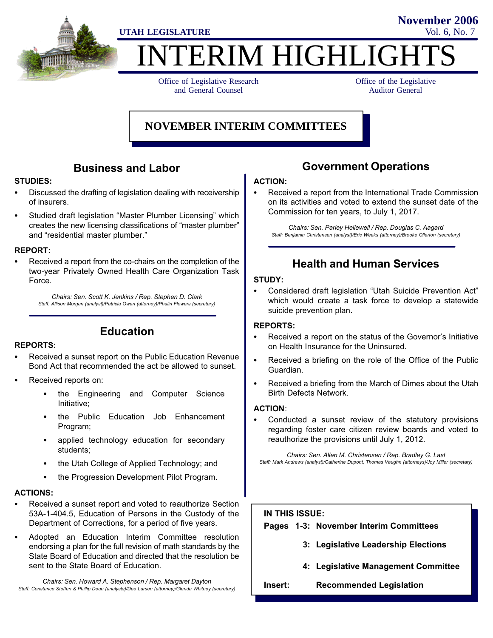

# **TERIM HIGHLIGH**

Office of Legislative Research and General Counsel

Office of the Legislative Auditor General

**November 2006**

## **NOVEMBER INTERIM COMMITTEES**

## Business and Labor

## STUDIES:

- Discussed the drafting of legislation dealing with receivership of insurers.
- Studied draft legislation "Master Plumber Licensing" which creates the new licensing classifications of master plumber" and "residential master plumber."

# REPORT:

 Received a report from the co−chairs on the completion of the two−year Privately Owned Health Care Organization Task Force.

Chairs: Sen. Scott K. Jenkins / Rep. Stephen D. Clark Staff: Allison Morgan (analyst)/Patricia Owen (attorney)/Phalin Flowers (secretary)

Education

# REPORTS:

- Received a sunset report on the Public Education Revenue Bond Act that recommended the act be allowed to sunset.
- Received reports on:
	- the Engineering and Computer Science Initiative;
	- the Public Education Job Enhancement Program;
	- applied technology education for secondary students;
	- the Utah College of Applied Technology; and
	- the Progression Development Pilot Program.

# ACTIONS:

- Received a sunset report and voted to reauthorize Section 53A−1−404.5, Education of Persons in the Custody of the Department of Corrections, for a period of five years.
- Adopted an Education Interim Committee resolution endorsing a plan for the full revision of math standards by the State Board of Education and directed that the resolution be sent to the State Board of Education.

Chairs: Sen. Howard A. Stephenson / Rep. Margaret Dayton Staff: Constance Steffen & Phillip Dean (analysts)/Dee Larsen (attorney)/Glenda Whitney (secretary)

## Government Operations

# ACTION:

 Received a report from the International Trade Commission on its activities and voted to extend the sunset date of the Commission for ten years, to July 1, 2017.

Chairs: Sen. Parley Hellewell / Rep. Douglas C. Aagard Staff: Benjamin Christensen (analyst)/Eric Weeks (attorney)/Brooke Ollerton (secretary)

## Health and Human Services

## STUDY:

Considered draft legislation "Utah Suicide Prevention Act" which would create a task force to develop a statewide suicide prevention plan.

## REPORTS:

- Received a report on the status of the Governor's Initiative on Health Insurance for the Uninsured.
- Received a briefing on the role of the Office of the Public Guardian.
- Received a briefing from the March of Dimes about the Utah Birth Defects Network.

# ACTION:

 Conducted a sunset review of the statutory provisions regarding foster care citizen review boards and voted to reauthorize the provisions until July 1, 2012.

Chairs: Sen. Allen M. Christensen / Rep. Bradley G. Last Staff: Mark Andrews (analyst)/Catherine Dupont, Thomas Vaughn (attorneys)/Joy Miller (secretary)

#### IN THIS ISSUE:

Pages 1−3: November Interim Committees

- 3: Legislative Leadership Elections
- 4: Legislative Management Committee
- Insert: Recommended Legislation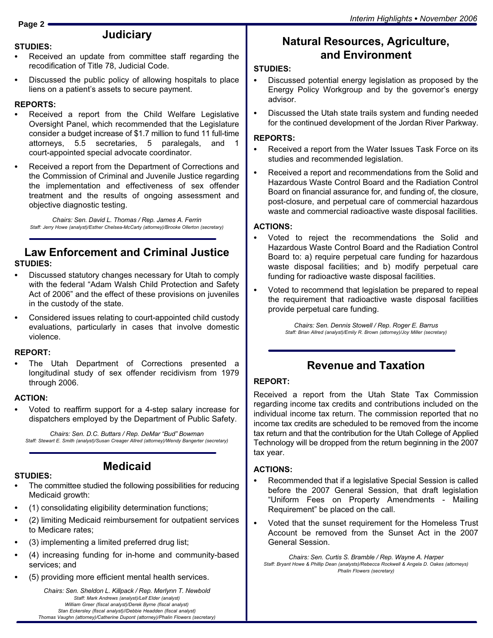## **Judiciary**

#### STUDIES:

- Received an update from committee staff regarding the recodification of Title 78, Judicial Code.
- Discussed the public policy of allowing hospitals to place liens on a patient's assets to secure payment.

## REPORTS:

- Received a report from the Child Welfare Legislative Oversight Panel, which recommended that the Legislature consider a budget increase of \$1.7 million to fund 11 full−time attorneys, 5.5 secretaries, 5 paralegals, and 1 court−appointed special advocate coordinator.
- Received a report from the Department of Corrections and the Commission of Criminal and Juvenile Justice regarding the implementation and effectiveness of sex offender treatment and the results of ongoing assessment and objective diagnostic testing.

Chairs: Sen. David L. Thomas / Rep. James A. Ferrin Staff: Jerry Howe (analyst)/Esther Chelsea−McCarty (attorney)/Brooke Ollerton (secretary)

## Law Enforcement and Criminal Justice STUDIES:

- Discussed statutory changes necessary for Utah to comply with the federal "Adam Walsh Child Protection and Safety Act of 2006" and the effect of these provisions on juveniles in the custody of the state.
- Considered issues relating to court−appointed child custody evaluations, particularly in cases that involve domestic violence.

## REPORT:

 The Utah Department of Corrections presented a longitudinal study of sex offender recidivism from 1979 through 2006.

## ACTION:

 Voted to reaffirm support for a 4−step salary increase for dispatchers employed by the Department of Public Safety.

Chairs: Sen. D.C. Buttars / Rep. DeMar "Bud" Bowman Staff: Stewart E. Smith (analyst)/Susan Creager Allred (attorney)/Wendy Bangerter (secretary)

## STUDIES:

- Medicaid
- The committee studied the following possibilities for reducing Medicaid growth:
- (1) consolidating eligibility determination functions;
- (2) limiting Medicaid reimbursement for outpatient services to Medicare rates;
- (3) implementing a limited preferred drug list;
- (4) increasing funding for in−home and community−based services; and
- (5) providing more efficient mental health services.

Chairs: Sen. Sheldon L. Killpack / Rep. Merlynn T. Newbold Staff: Mark Andrews (analyst)/Leif Elder (analyst) William Greer (fiscal analyst)/Derek Byrne (fiscal analyst) Stan Eckersley (fiscal analyst)//Debbie Headden (fiscal analyst) Thomas Vaughn (attorney)/Catherine Dupont (attorney)/Phalin Flowers (secretary)

## Natural Resources, Agriculture, and Environment

## STUDIES:

- Discussed potential energy legislation as proposed by the Energy Policy Workgroup and by the governor's energy advisor.
- Discussed the Utah state trails system and funding needed for the continued development of the Jordan River Parkway.

# REPORTS:

- Received a report from the Water Issues Task Force on its studies and recommended legislation.
- Received a report and recommendations from the Solid and Hazardous Waste Control Board and the Radiation Control Board on financial assurance for, and funding of, the closure, post−closure, and perpetual care of commercial hazardous waste and commercial radioactive waste disposal facilities.

# ACTIONS:

- Voted to reject the recommendations the Solid and Hazardous Waste Control Board and the Radiation Control Board to: a) require perpetual care funding for hazardous waste disposal facilities; and b) modify perpetual care funding for radioactive waste disposal facilities.
- Voted to recommend that legislation be prepared to repeal the requirement that radioactive waste disposal facilities provide perpetual care funding.

Chairs: Sen. Dennis Stowell / Rep. Roger E. Barrus Staff: Brian Allred (analyst)/Emily R. Brown (attorney)/Joy Miller (secretary)

# Revenue and Taxation

#### REPORT:

Received a report from the Utah State Tax Commission regarding income tax credits and contributions included on the individual income tax return. The commission reported that no income tax credits are scheduled to be removed from the income tax return and that the contribution for the Utah College of Applied Technology will be dropped from the return beginning in the 2007 tax year.

# ACTIONS:

- Recommended that if a legislative Special Session is called before the 2007 General Session, that draft legislation Uniform Fees on Property Amendments − Mailing Requirement" be placed on the call.
- Voted that the sunset requirement for the Homeless Trust Account be removed from the Sunset Act in the 2007 General Session.

Chairs: Sen. Curtis S. Bramble / Rep. Wayne A. Harper Staff: Bryant Howe & Phillip Dean (analysts)/Rebecca Rockwell & Angela D. Oakes (attorneys) Phalin Flowers (secretary)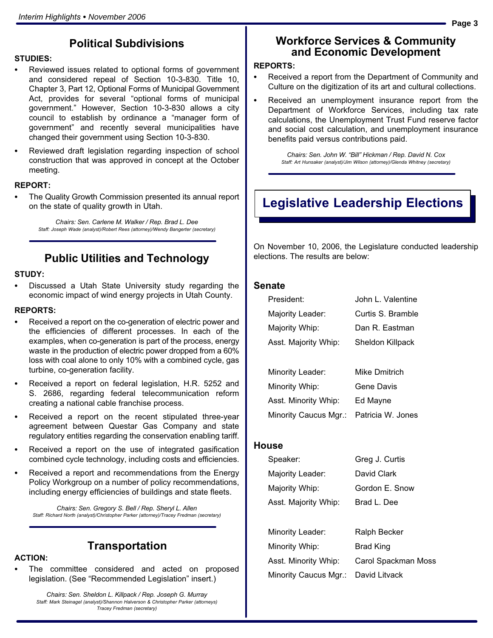## Political Subdivisions

# STUDIES:

- Reviewed issues related to optional forms of government and considered repeal of Section 10−3−830. Title 10, Chapter 3, Part 12, Optional Forms of Municipal Government Act, provides for several "optional forms of municipal government." However, Section 10−3−830 allows a city council to establish by ordinance a "manager form of government" and recently several municipalities have changed their government using Section 10−3−830.
- Reviewed draft legislation regarding inspection of school construction that was approved in concept at the October meeting.

# REPORT:

 The Quality Growth Commission presented its annual report on the state of quality growth in Utah.

> Chairs: Sen. Carlene M. Walker / Rep. Brad L. Dee Staff: Joseph Wade (analyst)/Robert Rees (attorney)/Wendy Bangerter (secretary)

## Public Utilities and Technology

## STUDY:

 Discussed a Utah State University study regarding the economic impact of wind energy projects in Utah County.

## REPORTS:

- Received a report on the co−generation of electric power and the efficiencies of different processes. In each of the examples, when co−generation is part of the process, energy waste in the production of electric power dropped from a 60% loss with coal alone to only 10% with a combined cycle, gas turbine, co−generation facility.
- Received a report on federal legislation, H.R. 5252 and S. 2686, regarding federal telecommunication reform creating a national cable franchise process.
- Received a report on the recent stipulated three−year agreement between Questar Gas Company and state regulatory entities regarding the conservation enabling tariff.
- Received a report on the use of integrated gasification combined cycle technology, including costs and efficiencies.
- Received a report and recommendations from the Energy Policy Workgroup on a number of policy recommendations, including energy efficiencies of buildings and state fleets.

Chairs: Sen. Gregory S. Bell / Rep. Sheryl L. Allen Staff: Richard North (analyst)/Christopher Parker (attorney)/Tracey Fredman (secretary)

# ACTION:

- **Transportation**
- The committee considered and acted on proposed legislation. (See "Recommended Legislation" insert.)

Chairs: Sen. Sheldon L. Killpack / Rep. Joseph G. Murray Staff: Mark Steinagel (analyst)/Shannon Halverson & Christopher Parker (attorneys) Tracey Fredman (secretary)

#### Workforce Services & Community and Economic Development

## REPORTS:

- Received a report from the Department of Community and Culture on the digitization of its art and cultural collections.
- Received an unemployment insurance report from the Department of Workforce Services, including tax rate calculations, the Unemployment Trust Fund reserve factor and social cost calculation, and unemployment insurance benefits paid versus contributions paid.

Chairs: Sen. John W. "Bill" Hickman / Rep. David N. Cox Staff: Art Hunsaker (analyst)/Jim Wilson (attorney)/Glenda Whitney (secretary)

# Legislative Leadership Elections

On November 10, 2006, the Legislature conducted leadership elections. The results are below:

#### Senate

| President:            | John L. Valentine |
|-----------------------|-------------------|
| Majority Leader:      | Curtis S. Bramble |
| Majority Whip:        | Dan R. Eastman    |
| Asst. Majority Whip:  | Sheldon Killpack  |
|                       |                   |
| Minority Leader:      | Mike Dmitrich     |
| Minority Whip:        | Gene Davis        |
| Asst. Minority Whip:  | Ed Mayne          |
| Minority Caucus Mgr.: | Patricia W. Jones |

#### **House**

| Speaker:             | Greg J. Curtis |
|----------------------|----------------|
| Majority Leader:     | David Clark    |
| Majority Whip:       | Gordon E. Snow |
| Asst. Majority Whip: | Brad L. Dee    |

| Minority Leader:                    | Ralph Becker        |
|-------------------------------------|---------------------|
| Minority Whip:                      | Brad King           |
| Asst. Minority Whip:                | Carol Spackman Moss |
| Minority Caucus Mgr.: David Litvack |                     |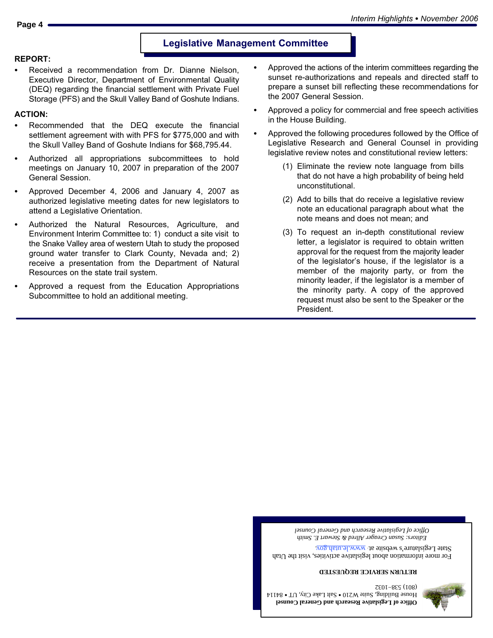**Office of Legislative Research and General Counsel**  $H$ ouse Building, Suite W210  $\bullet$  Salt Lake City, UT  $\bullet$  84114 (801) 538−1032

*Editors: Susan Creager Allred & Stewart E. Smith Office of Legislative Research and General Counsel*

For more information about legislative activities, visit the Utah State Legislature's website at  $\frac{www.lc.lah.gov}{www.lc.lah.gov}$ 

**RETURN SERVICE REQUESTED**



#### Legislative Management Committee

# REPORT:

 Received a recommendation from Dr. Dianne Nielson, Executive Director, Department of Environmental Quality (DEQ) regarding the financial settlement with Private Fuel Storage (PFS) and the Skull Valley Band of Goshute Indians.

# ACTION:

- Recommended that the DEQ execute the financial settlement agreement with with PFS for \$775,000 and with the Skull Valley Band of Goshute Indians for \$68,795.44.
- Authorized all appropriations subcommittees to hold meetings on January 10, 2007 in preparation of the 2007
- General Session.
- Approved December 4, 2006 and January 4, 2007 as authorized legislative meeting dates for new legislators to attend a Legislative Orientation.
- 
- Authorized the Natural Resources, Agriculture, and Environment Interim Committee to: 1) conduct a site visit to the Snake Valley area of western Utah to study the proposed ground water transfer to Clark County, Nevada and; 2)

Resources on the state trail system.

Subcommittee to hold an additional meeting.

- - receive a presentation from the Department of Natural

Approved a request from the Education Appropriations

(1) Eliminate the review note language from bills unconstitutional.

President.

in the House Building.

(2) Add to bills that do receive a legislative review note an educational paragraph about what the note means and does not mean; and

(3) To request an in−depth constitutional review letter, a legislator is required to obtain written approval for the request from the majority leader of the legislator's house, if the legislator is a member of the majority party, or from the minority leader, if the legislator is a member of the minority party. A copy of the approved request must also be sent to the Speaker or the

- 
- that do not have a high probability of being held
- 
- 
- 

 Approved the following procedures followed by the Office of Legislative Research and General Counsel in providing legislative review notes and constitutional review letters:

 Approved the actions of the interim committees regarding the sunset re−authorizations and repeals and directed staff to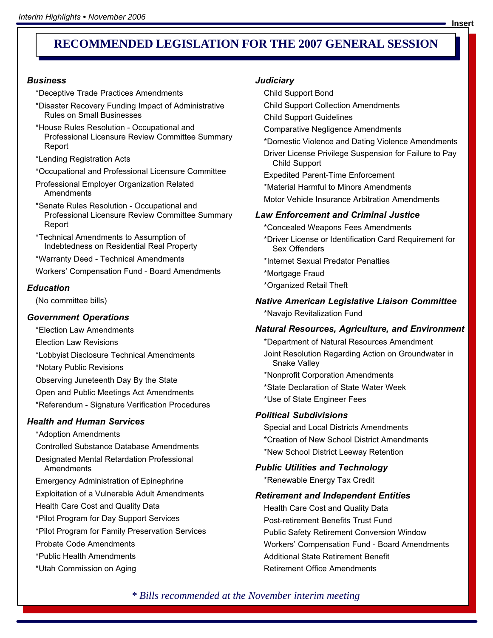# **RECOMMENDED LEGISLATION FOR THE 2007 GENERAL SESSION FOR**

#### **Business**

\*Deceptive Trade Practices Amendments

- \*Disaster Recovery Funding Impact of Administrative Rules on Small Businesses
- \*House Rules Resolution − Occupational and Professional Licensure Review Committee Summary Report
- \*Lending Registration Acts
- \*Occupational and Professional Licensure Committee
- Professional Employer Organization Related **Amendments**
- \*Senate Rules Resolution − Occupational and Professional Licensure Review Committee Summary Report
- \*Technical Amendments to Assumption of Indebtedness on Residential Real Property

\*Warranty Deed − Technical Amendments

Workers' Compensation Fund − Board Amendments

#### **Education**

(No committee bills)

#### Government Operations

\*Election Law Amendments

Election Law Revisions

\*Lobbyist Disclosure Technical Amendments

\*Notary Public Revisions

Observing Juneteenth Day By the State

Open and Public Meetings Act Amendments

\*Referendum − Signature Verification Procedures

#### Health and Human Services

\*Adoption Amendments

Controlled Substance Database Amendments

Designated Mental Retardation Professional **Amendments** 

Emergency Administration of Epinephrine

Exploitation of a Vulnerable Adult Amendments

Health Care Cost and Quality Data

\*Pilot Program for Day Support Services

\*Pilot Program for Family Preservation Services

Probate Code Amendments

\*Public Health Amendments

\*Utah Commission on Aging

#### **Judiciary**

Child Support Bond

- Child Support Collection Amendments
- Child Support Guidelines
- Comparative Negligence Amendments
- \*Domestic Violence and Dating Violence Amendments

Driver License Privilege Suspension for Failure to Pay Child Support

Expedited Parent−Time Enforcement

\*Material Harmful to Minors Amendments

Motor Vehicle Insurance Arbitration Amendments

#### Law Enforcement and Criminal Justice

\*Concealed Weapons Fees Amendments

- \*Driver License or Identification Card Requirement for Sex Offenders
- \*Internet Sexual Predator Penalties
- \*Mortgage Fraud
- \*Organized Retail Theft

#### Native American Legislative Liaison Committee

\*Navajo Revitalization Fund

#### Natural Resources, Agriculture, and Environment

\*Department of Natural Resources Amendment Joint Resolution Regarding Action on Groundwater in Snake Valley

\*Nonprofit Corporation Amendments

- \*State Declaration of State Water Week
- \*Use of State Engineer Fees

#### Political Subdivisions

Special and Local Districts Amendments \*Creation of New School District Amendments \*New School District Leeway Retention

#### Public Utilities and Technology

\*Renewable Energy Tax Credit

#### Retirement and Independent Entities

Health Care Cost and Quality Data Post−retirement Benefits Trust Fund Public Safety Retirement Conversion Window Workers' Compensation Fund − Board Amendments Additional State Retirement Benefit Retirement Office Amendments

*\* Bills recommended at the November interim meeting*